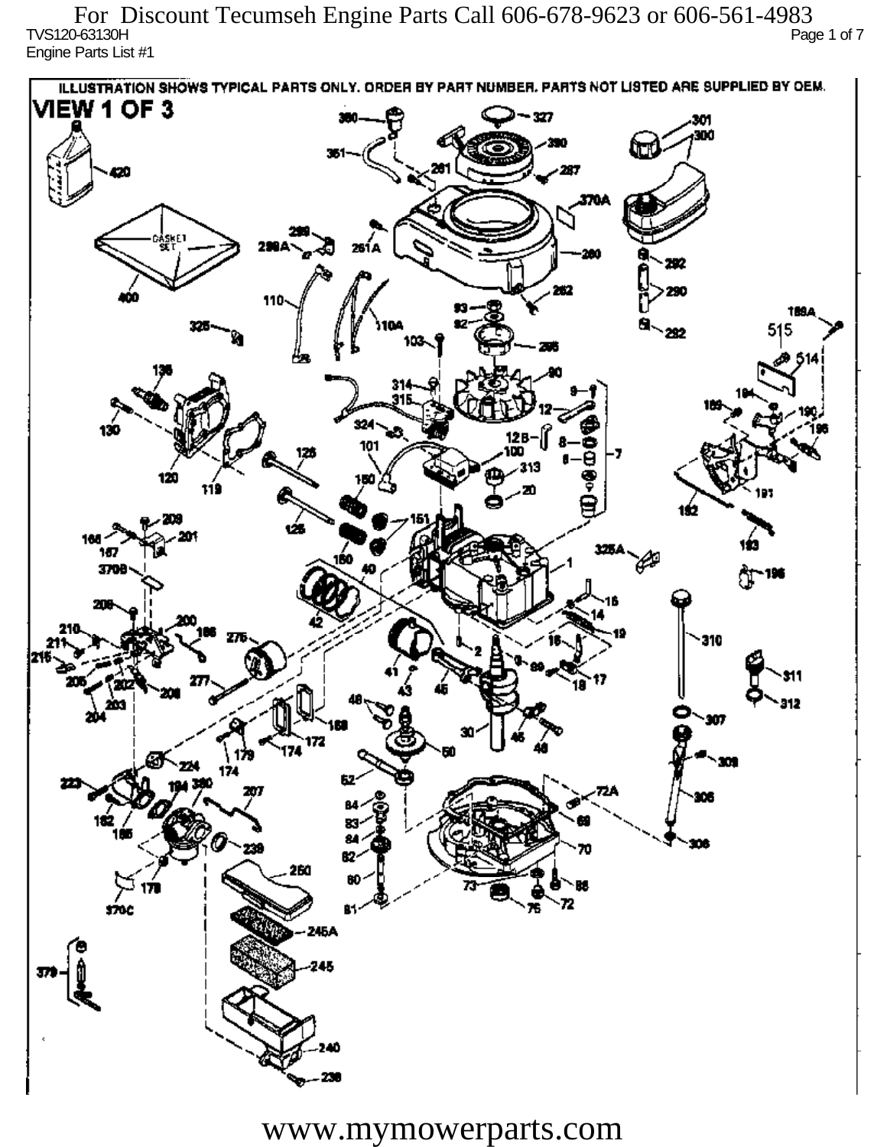TVS120-63130H Page 1 of 7 Engine Parts List #1 For Discount Tecumseh Engine Parts Call 606-678-9623 or 606-561-4983

ILLUSTRATION SHOWS TYPICAL PARTS ONLY. ORDER BY PART NUMBER, PARTS NOT LISTED ARE SUPPLIED BY DEM. **VIEW 1 OF 3** - 327 301 300 20 370A iskF1 261 A ж 292 290 110 1894 515 292 324 130 12 R 101 313 120 دھر 1ś2 ÚБ 160 167 160 P 3709 196 77 310 912 201 Ô,  $\mathbf{m}$ 172 174 174 182 ÷. ß2 260 72 sioc 76 81 245A 245 40

www.mymowerparts.com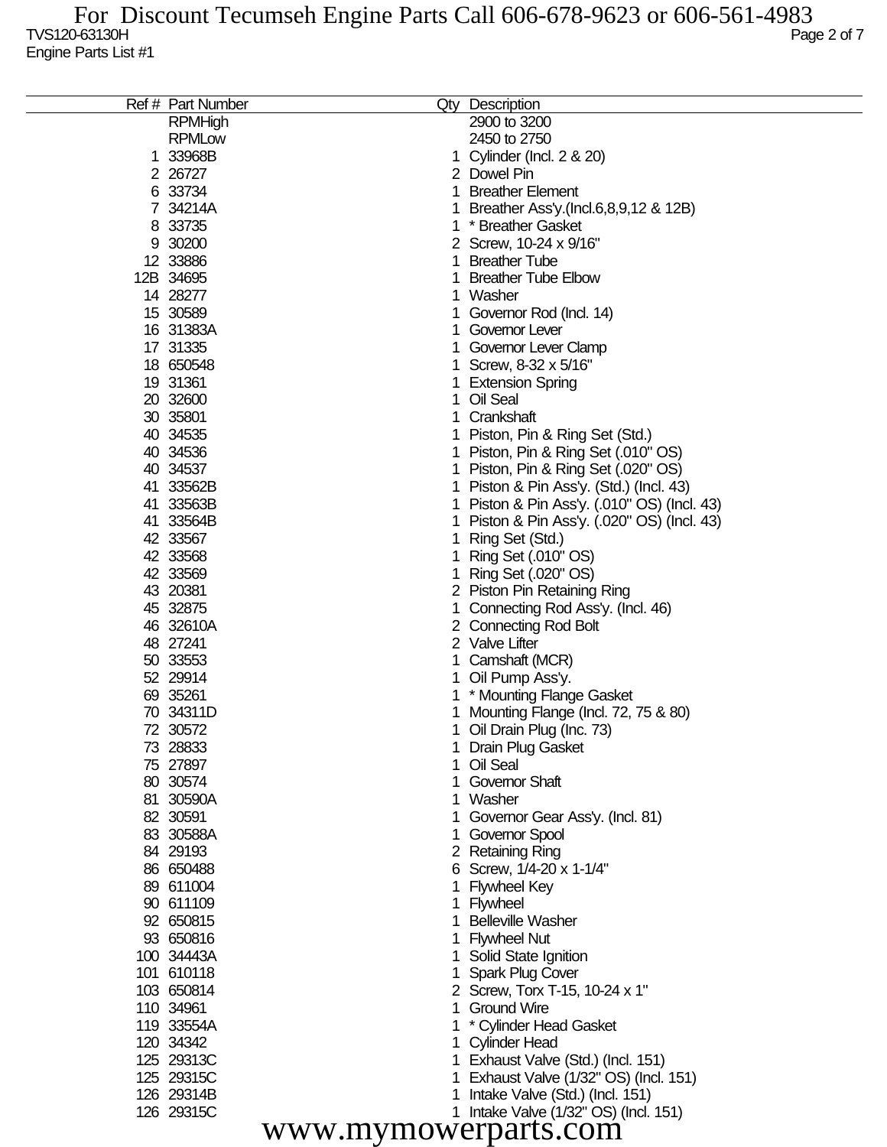| Ref # Part Number | Qty                  | Description                               |  |  |  |  |
|-------------------|----------------------|-------------------------------------------|--|--|--|--|
| <b>RPMHigh</b>    |                      | 2900 to 3200                              |  |  |  |  |
| <b>RPMLow</b>     |                      | 2450 to 2750                              |  |  |  |  |
| 1 33968B          |                      | Cylinder (Incl. 2 & 20)                   |  |  |  |  |
| 2 26727           |                      | 2 Dowel Pin                               |  |  |  |  |
| 6 33734           | 1                    | <b>Breather Element</b>                   |  |  |  |  |
| 7 34214A          |                      | Breather Ass'y.(Incl.6,8,9,12 & 12B)      |  |  |  |  |
| 8 33735           |                      | * Breather Gasket                         |  |  |  |  |
| 9 30200           |                      | Screw, 10-24 x 9/16"                      |  |  |  |  |
| 12 33886          |                      | <b>Breather Tube</b>                      |  |  |  |  |
| 12B 34695         |                      | <b>Breather Tube Elbow</b>                |  |  |  |  |
| 14 28277          |                      | Washer                                    |  |  |  |  |
| 15 30589          |                      | Governor Rod (Incl. 14)                   |  |  |  |  |
| 16 31383A         |                      | Governor Lever                            |  |  |  |  |
| 17 31335          |                      | Governor Lever Clamp                      |  |  |  |  |
| 18 650548         |                      | Screw, 8-32 x 5/16"                       |  |  |  |  |
| 19 31361          |                      | <b>Extension Spring</b>                   |  |  |  |  |
| 20 32600          |                      | Oil Seal                                  |  |  |  |  |
|                   |                      |                                           |  |  |  |  |
| 30 35801          |                      | Crankshaft                                |  |  |  |  |
| 40 34535          |                      | Piston, Pin & Ring Set (Std.)             |  |  |  |  |
| 40 34536          |                      | Piston, Pin & Ring Set (.010" OS)         |  |  |  |  |
| 40 34537          |                      | Piston, Pin & Ring Set (.020" OS)         |  |  |  |  |
| 41 33562B         |                      | Piston & Pin Ass'y. (Std.) (Incl. 43)     |  |  |  |  |
| 41 33563B         |                      | Piston & Pin Ass'y. (.010" OS) (Incl. 43) |  |  |  |  |
| 41 33564B         |                      | Piston & Pin Ass'y. (.020" OS) (Incl. 43) |  |  |  |  |
| 42 33567          |                      | Ring Set (Std.)                           |  |  |  |  |
| 42 33568          |                      | Ring Set (.010" OS)                       |  |  |  |  |
| 42 33569          |                      | Ring Set (.020" OS)                       |  |  |  |  |
| 43 20381          |                      | 2 Piston Pin Retaining Ring               |  |  |  |  |
| 45 32875          |                      | Connecting Rod Ass'y. (Incl. 46)          |  |  |  |  |
| 46 32610A         |                      | 2 Connecting Rod Bolt                     |  |  |  |  |
| 48 27241          |                      | 2 Valve Lifter                            |  |  |  |  |
| 50 33553          |                      | Camshaft (MCR)                            |  |  |  |  |
| 52 29914          |                      | Oil Pump Ass'y.                           |  |  |  |  |
| 69 35261          |                      | * Mounting Flange Gasket                  |  |  |  |  |
| 70 34311D         |                      | Mounting Flange (Incl. 72, 75 & 80)       |  |  |  |  |
| 72 30572          |                      | Oil Drain Plug (Inc. 73)                  |  |  |  |  |
| 73 28833          |                      | <b>Drain Plug Gasket</b>                  |  |  |  |  |
| 75 27897          |                      | Oil Seal                                  |  |  |  |  |
| 80 30574          |                      | <b>Governor Shaft</b>                     |  |  |  |  |
| 81 30590A         | 1                    | Washer                                    |  |  |  |  |
| 82 30591          |                      | Governor Gear Ass'y. (Incl. 81)           |  |  |  |  |
| 83 30588A         |                      | Governor Spool                            |  |  |  |  |
| 84 29193          |                      | 2 Retaining Ring                          |  |  |  |  |
| 86 650488         |                      | 6 Screw, 1/4-20 x 1-1/4"                  |  |  |  |  |
| 89 611004         |                      | <b>Flywheel Key</b>                       |  |  |  |  |
| 90 611109         |                      | Flywheel                                  |  |  |  |  |
| 92 650815         |                      | <b>Belleville Washer</b>                  |  |  |  |  |
| 93 650816         |                      | <b>Flywheel Nut</b>                       |  |  |  |  |
| 100 34443A        |                      | Solid State Ignition                      |  |  |  |  |
| 101 610118        |                      | Spark Plug Cover                          |  |  |  |  |
| 103 650814        |                      | 2 Screw, Torx T-15, 10-24 x 1"            |  |  |  |  |
| 110 34961         | 1                    | <b>Ground Wire</b>                        |  |  |  |  |
| 119 33554A        |                      | * Cylinder Head Gasket                    |  |  |  |  |
| 120 34342         |                      |                                           |  |  |  |  |
| 125 29313C        |                      | <b>Cylinder Head</b>                      |  |  |  |  |
|                   |                      | Exhaust Valve (Std.) (Incl. 151)          |  |  |  |  |
| 125 29315C        |                      | Exhaust Valve (1/32" OS) (Incl. 151)      |  |  |  |  |
| 126 29314B        |                      | Intake Valve (Std.) (Incl. 151)           |  |  |  |  |
| 126 29315C        |                      | 1 Intake Valve (1/32" OS) (Incl. 151)     |  |  |  |  |
|                   | www.mymowerparts.com |                                           |  |  |  |  |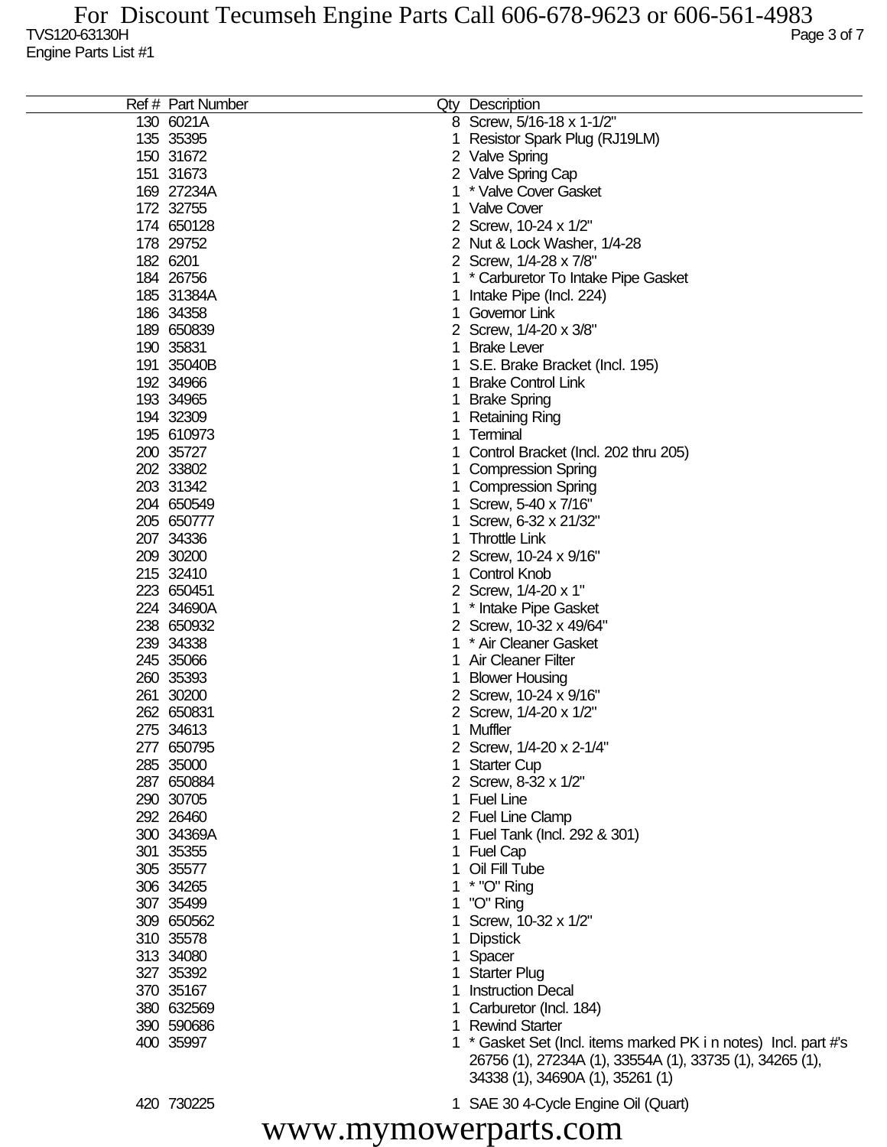|           | Ref # Part Number | Qty Description                                                 |
|-----------|-------------------|-----------------------------------------------------------------|
|           | 130 6021A         | 8 Screw, 5/16-18 x 1-1/2"                                       |
| 135 35395 |                   | Resistor Spark Plug (RJ19LM)                                    |
| 150 31672 |                   | 2 Valve Spring                                                  |
| 151 31673 |                   | Valve Spring Cap                                                |
|           | 169 27234A        | * Valve Cover Gasket                                            |
| 172 32755 |                   | 1 Valve Cover                                                   |
|           | 174 650128        |                                                                 |
|           |                   | 2 Screw, 10-24 x 1/2"                                           |
| 178 29752 |                   | 2 Nut & Lock Washer, 1/4-28                                     |
| 182 6201  |                   | 2 Screw, 1/4-28 x 7/8"                                          |
|           | 184 26756         | * Carburetor To Intake Pipe Gasket                              |
|           | 185 31384A        | Intake Pipe (Incl. 224)                                         |
| 186 34358 |                   | Governor Link                                                   |
|           | 189 650839        | 2 Screw, 1/4-20 x 3/8"                                          |
| 190 35831 |                   | <b>Brake Lever</b>                                              |
|           | 191 35040B        | S.E. Brake Bracket (Incl. 195)                                  |
| 192 34966 |                   | <b>Brake Control Link</b>                                       |
| 193 34965 |                   | <b>Brake Spring</b>                                             |
| 194 32309 |                   | <b>Retaining Ring</b>                                           |
|           | 195 610973        | Terminal                                                        |
| 200 35727 |                   | Control Bracket (Incl. 202 thru 205)                            |
| 202 33802 |                   | <b>Compression Spring</b>                                       |
| 203 31342 |                   | <b>Compression Spring</b>                                       |
|           | 204 650549        | Screw, 5-40 x 7/16"                                             |
|           | 205 650777        | Screw, 6-32 x 21/32"                                            |
| 207 34336 |                   | <b>Throttle Link</b>                                            |
| 209 30200 |                   |                                                                 |
|           |                   | Screw, 10-24 x 9/16"                                            |
| 215 32410 |                   | Control Knob                                                    |
|           | 223 650451        | 2 Screw, 1/4-20 x 1"                                            |
|           | 224 34690A        | * Intake Pipe Gasket                                            |
|           | 238 650932        | 2 Screw, 10-32 x 49/64"                                         |
| 239 34338 |                   | * Air Cleaner Gasket                                            |
| 245 35066 |                   | <b>Air Cleaner Filter</b>                                       |
| 260 35393 |                   | <b>Blower Housing</b>                                           |
| 261 30200 |                   | 2 Screw, 10-24 x 9/16"                                          |
|           | 262 650831        | 2 Screw, 1/4-20 x 1/2"                                          |
| 275 34613 |                   | Muffler                                                         |
|           | 277 650795        | 2 Screw, 1/4-20 x 2-1/4"                                        |
| 285 35000 |                   | 1 Starter Cup                                                   |
|           | 287 650884        | 2 Screw, 8-32 x 1/2"                                            |
| 290 30705 |                   | 1 Fuel Line                                                     |
| 292 26460 |                   | 2 Fuel Line Clamp                                               |
|           | 300 34369A        | 1 Fuel Tank (Incl. 292 & 301)                                   |
| 301 35355 |                   | 1 Fuel Cap                                                      |
| 305 35577 |                   | 1 Oil Fill Tube                                                 |
| 306 34265 |                   | 1 * "O" Ring                                                    |
| 307 35499 |                   | 1 "O" Ring                                                      |
|           | 309 650562        | 1 Screw, 10-32 x 1/2"                                           |
| 310 35578 |                   | <b>Dipstick</b>                                                 |
| 313 34080 |                   | Spacer                                                          |
| 327 35392 |                   | <b>Starter Plug</b>                                             |
| 370 35167 |                   | <b>Instruction Decal</b>                                        |
|           | 380 632569        | 1 Carburetor (Incl. 184)                                        |
|           | 390 590686        | 1 Rewind Starter                                                |
| 400 35997 |                   | 1 * Gasket Set (Incl. items marked PK i n notes) Incl. part #'s |
|           |                   | 26756 (1), 27234A (1), 33554A (1), 33735 (1), 34265 (1),        |
|           |                   | 34338 (1), 34690A (1), 35261 (1)                                |

730225 1 SAE 30 4-Cycle Engine Oil (Quart)

www.mymowerparts.com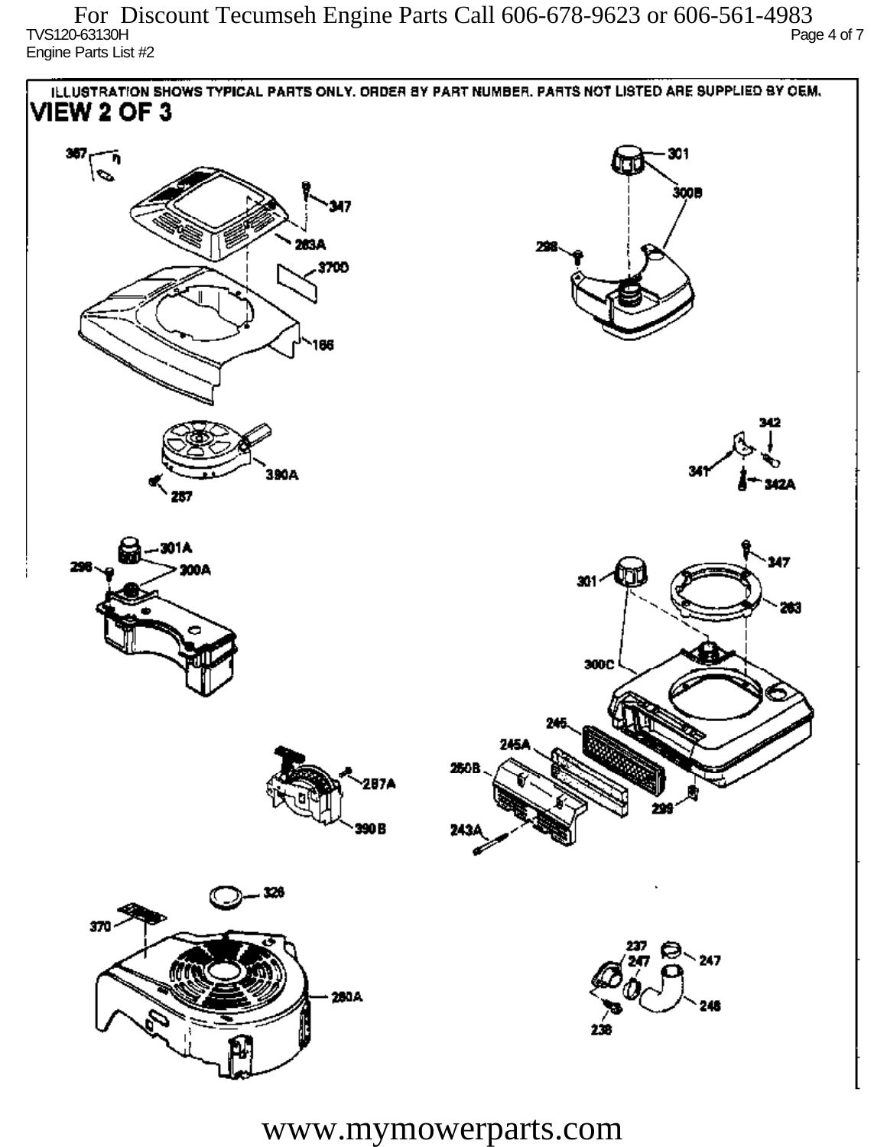TVS120-63130H Page 4 of 7 Engine Parts List #2 For Discount Tecumseh Engine Parts Call 606-678-9623 or 606-561-4983



www.mymowerparts.com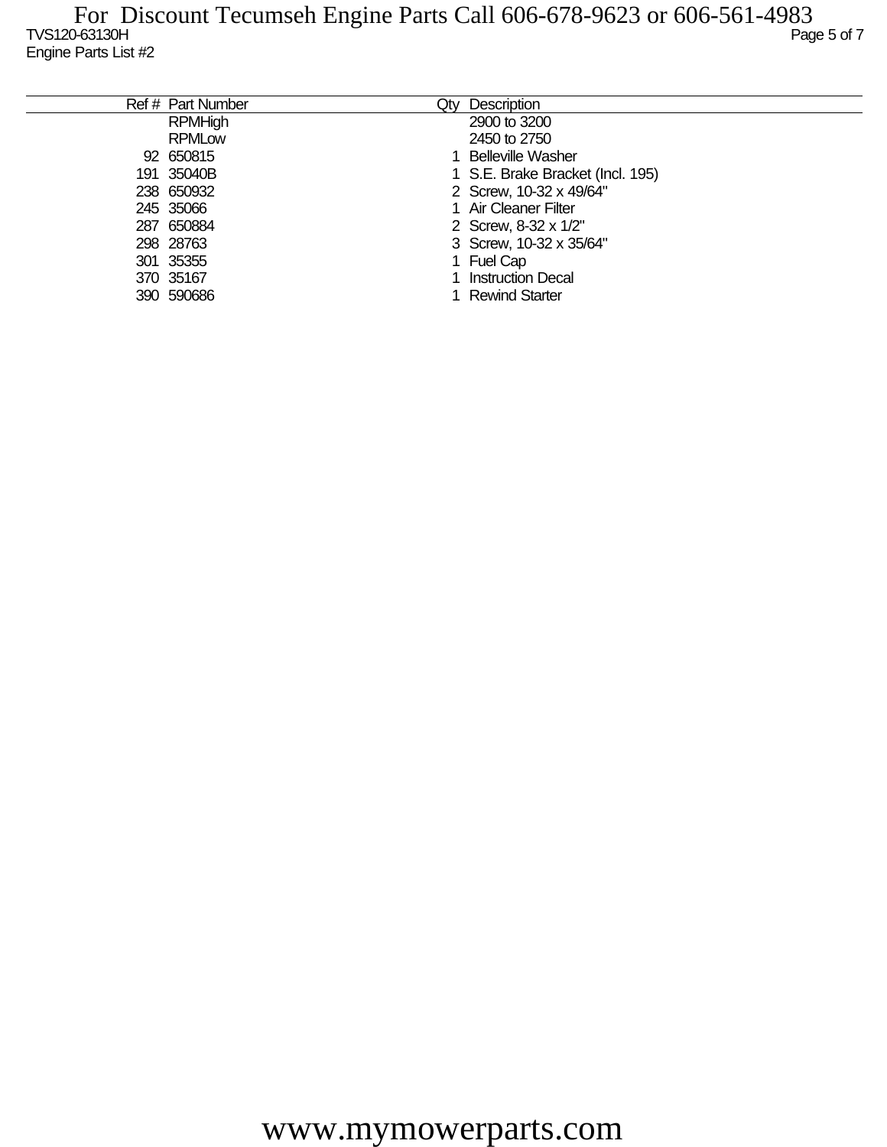| Ref # Part Number | Qtv | Description                      |
|-------------------|-----|----------------------------------|
| <b>RPMHigh</b>    |     | 2900 to 3200                     |
| <b>RPMLow</b>     |     | 2450 to 2750                     |
| 92 650815         |     | <b>Belleville Washer</b>         |
| 191 35040B        |     | 1 S.E. Brake Bracket (Incl. 195) |
| 238 650932        |     | 2 Screw, 10-32 x 49/64"          |
| 245 35066         |     | 1 Air Cleaner Filter             |
| 287 650884        |     | 2 Screw, 8-32 x 1/2"             |
| 298 28763         |     | 3 Screw, 10-32 x 35/64"          |
| 301 35355         |     | Fuel Cap                         |
| 370 35167         |     | <b>Instruction Decal</b>         |
| 390 590686        |     | <b>Rewind Starter</b>            |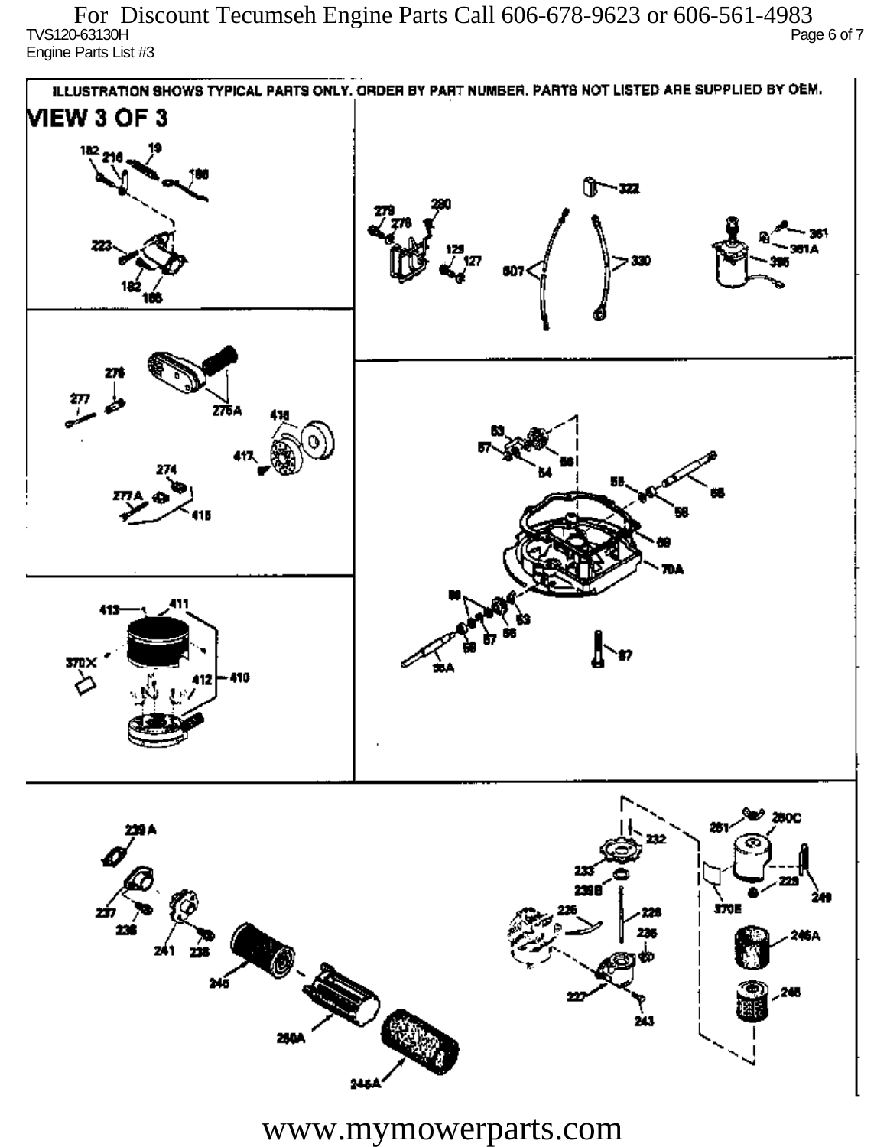TVS120-63130H Page 6 of 7 Engine Parts List #3 For Discount Tecumseh Engine Parts Call 606-678-9623 or 606-561-4983



www.mymowerparts.com